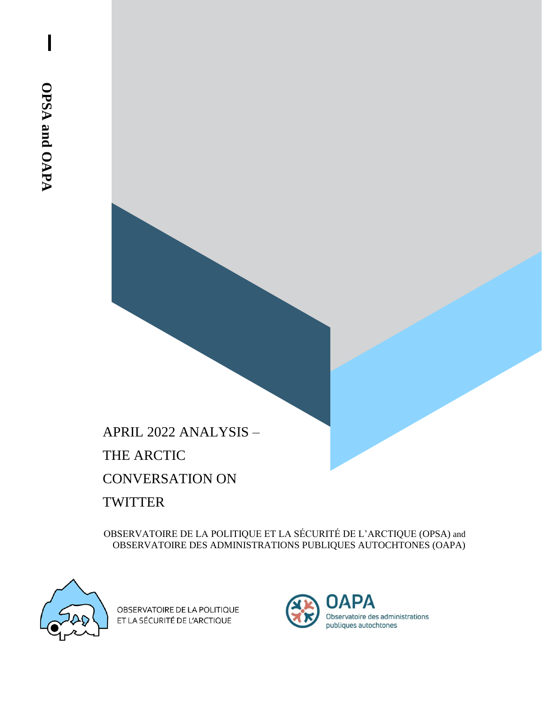APRIL 2022 ANALYSIS – THE ARCTIC CONVERSATION ON **TWITTER** 

OBSERVATOIRE DE LA POLITIQUE ET LA SÉCURITÉ DE L'ARCTIQUE (OPSA) and OBSERVATOIRE DES ADMINISTRATIONS PUBLIQUES AUTOCHTONES (OAPA)



OBSERVATOIRE DE LA POLITIQUE ET LA SÉCURITÉ DE L'ARCTIQUE

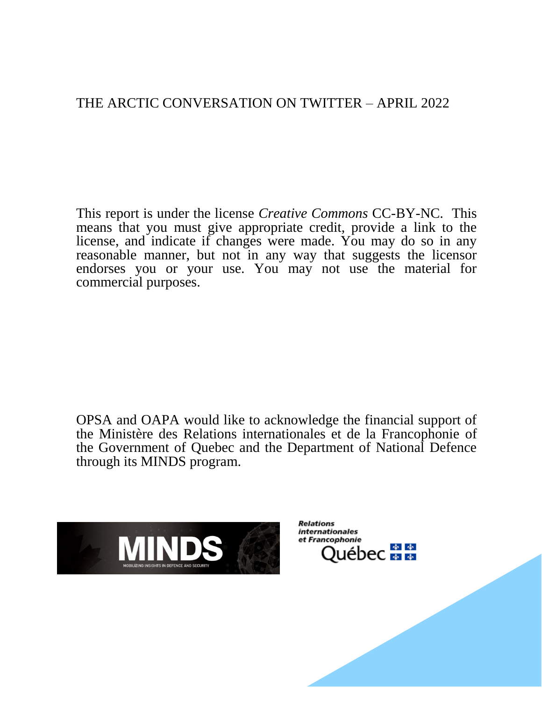# THE ARCTIC CONVERSATION ON TWITTER – APRIL 2022

This report is under the license *Creative Commons* CC-BY-NC. This means that you must give appropriate credit, provide a link to the license, and indicate if changes were made. You may do so in any reasonable manner, but not in any way that suggests the licensor endorses you or your use. You may not use the material for commercial purposes.

OPSA and OAPA would like to acknowledge the financial support of the Ministère des Relations internationales et de la Francophonie of the Government of Quebec and the Department of National Defence through its MINDS program.



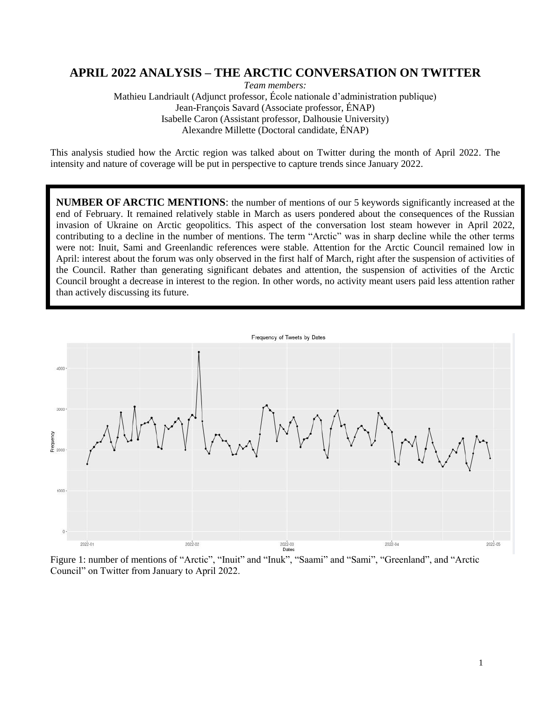### **APRIL 2022 ANALYSIS – THE ARCTIC CONVERSATION ON TWITTER**

*Team members:* 

Mathieu Landriault (Adjunct professor, École nationale d'administration publique) Jean-François Savard (Associate professor, ÉNAP) Isabelle Caron (Assistant professor, Dalhousie University) Alexandre Millette (Doctoral candidate, ÉNAP)

This analysis studied how the Arctic region was talked about on Twitter during the month of April 2022. The intensity and nature of coverage will be put in perspective to capture trends since January 2022.

**NUMBER OF ARCTIC MENTIONS**: the number of mentions of our 5 keywords significantly increased at the end of February. It remained relatively stable in March as users pondered about the consequences of the Russian invasion of Ukraine on Arctic geopolitics. This aspect of the conversation lost steam however in April 2022, contributing to a decline in the number of mentions. The term "Arctic" was in sharp decline while the other terms were not: Inuit, Sami and Greenlandic references were stable. Attention for the Arctic Council remained low in April: interest about the forum was only observed in the first half of March, right after the suspension of activities of the Council. Rather than generating significant debates and attention, the suspension of activities of the Arctic Council brought a decrease in interest to the region. In other words, no activity meant users paid less attention rather than actively discussing its future.



Figure 1: number of mentions of "Arctic", "Inuit" and "Inuk", "Saami" and "Sami", "Greenland", and "Arctic Council" on Twitter from January to April 2022.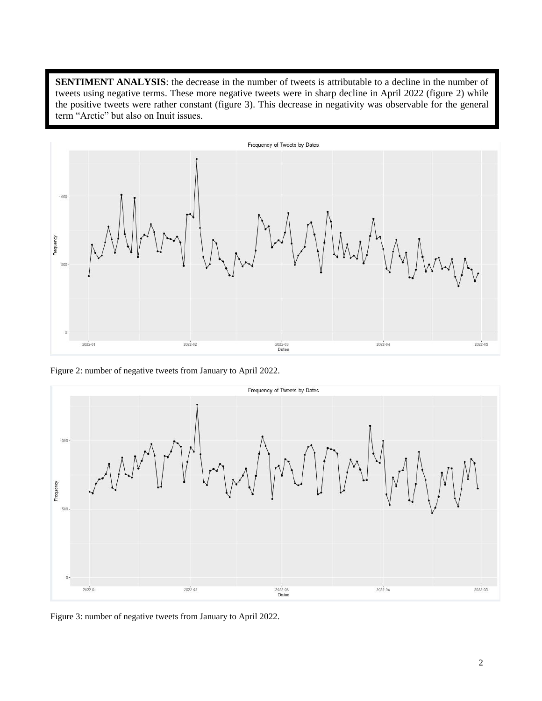**SENTIMENT ANALYSIS**: the decrease in the number of tweets is attributable to a decline in the number of tweets using negative terms. These more negative tweets were in sharp decline in April 2022 (figure 2) while the positive tweets were rather constant (figure 3). This decrease in negativity was observable for the general term "Arctic" but also on Inuit issues.



Figure 2: number of negative tweets from January to April 2022.



Figure 3: number of negative tweets from January to April 2022.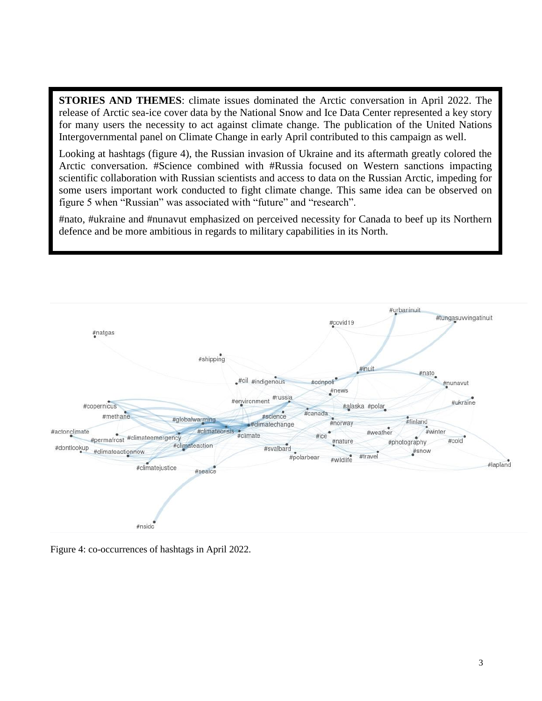**STORIES AND THEMES**: climate issues dominated the Arctic conversation in April 2022. The release of Arctic sea-ice cover data by the National Snow and Ice Data Center represented a key story for many users the necessity to act against climate change. The publication of the United Nations Intergovernmental panel on Climate Change in early April contributed to this campaign as well.

Looking at hashtags (figure 4), the Russian invasion of Ukraine and its aftermath greatly colored the Arctic conversation. #Science combined with #Russia focused on Western sanctions impacting scientific collaboration with Russian scientists and access to data on the Russian Arctic, impeding for some users important work conducted to fight climate change. This same idea can be observed on figure 5 when "Russian" was associated with "future" and "research".

#nato, #ukraine and #nunavut emphasized on perceived necessity for Canada to beef up its Northern defence and be more ambitious in regards to military capabilities in its North.



Figure 4: co-occurrences of hashtags in April 2022.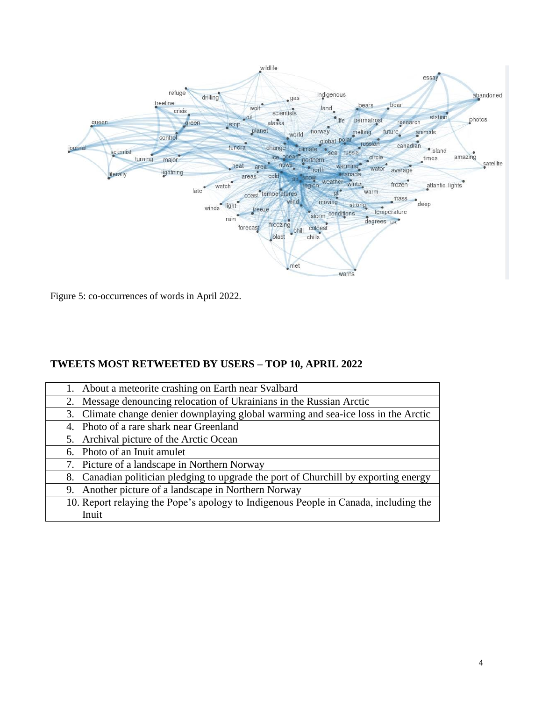

Figure 5: co-occurrences of words in April 2022.

## **TWEETS MOST RETWEETED BY USERS – TOP 10, APRIL 2022**

| 1. About a meteorite crashing on Earth near Svalbard                                 |
|--------------------------------------------------------------------------------------|
| 2. Message denouncing relocation of Ukrainians in the Russian Arctic                 |
| 3. Climate change denier downplaying global warming and sea-ice loss in the Arctic   |
| 4. Photo of a rare shark near Greenland                                              |
| 5. Archival picture of the Arctic Ocean                                              |
| 6. Photo of an Inuit amulet                                                          |
| 7. Picture of a landscape in Northern Norway                                         |
| 8. Canadian politician pledging to upgrade the port of Churchill by exporting energy |
| 9. Another picture of a landscape in Northern Norway                                 |
| 10. Report relaying the Pope's apology to Indigenous People in Canada, including the |
| Inuit                                                                                |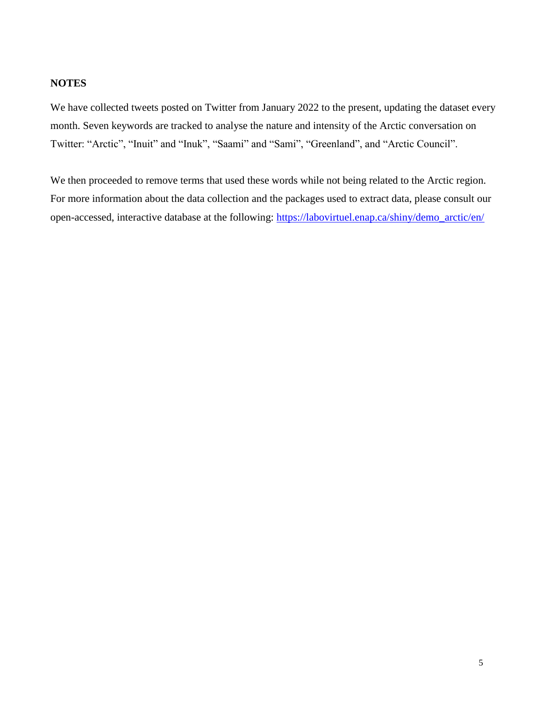### **NOTES**

We have collected tweets posted on Twitter from January 2022 to the present, updating the dataset every month. Seven keywords are tracked to analyse the nature and intensity of the Arctic conversation on Twitter: "Arctic", "Inuit" and "Inuk", "Saami" and "Sami", "Greenland", and "Arctic Council".

We then proceeded to remove terms that used these words while not being related to the Arctic region. For more information about the data collection and the packages used to extract data, please consult our open-accessed, interactive database at the following: [https://labovirtuel.enap.ca/shiny/demo\\_arctic/en/](https://labovirtuel.enap.ca/shiny/demo_arctic/en/)